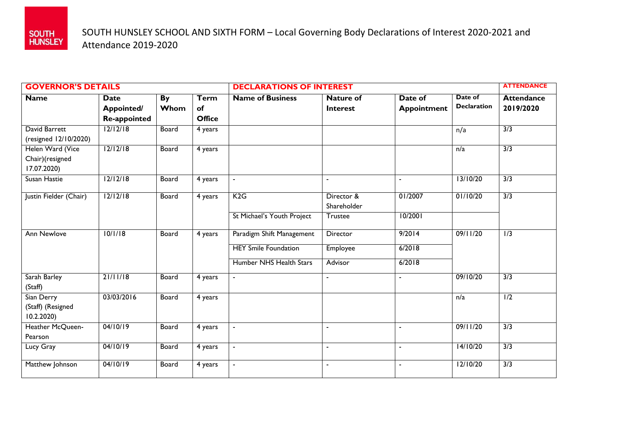

| <b>GOVERNOR'S DETAILS</b>                          |                                                         |              |                                    | <b>DECLARATIONS OF INTEREST</b> |                                     |                               |                               | <b>ATTENDANCE</b>              |
|----------------------------------------------------|---------------------------------------------------------|--------------|------------------------------------|---------------------------------|-------------------------------------|-------------------------------|-------------------------------|--------------------------------|
| <b>Name</b>                                        | <b>Date</b><br><b>Appointed/</b><br><b>Re-appointed</b> | By<br>Whom   | <b>Term</b><br>of<br><b>Office</b> | <b>Name of Business</b>         | <b>Nature of</b><br><b>Interest</b> | Date of<br><b>Appointment</b> | Date of<br><b>Declaration</b> | <b>Attendance</b><br>2019/2020 |
| David Barrett<br>(resigned 12/10/2020)             | 12/12/18                                                | <b>Board</b> | 4 years                            |                                 |                                     |                               | n/a                           | 3/3                            |
| Helen Ward (Vice<br>Chair)(resigned<br>17.07.2020) | 12/12/18                                                | <b>Board</b> | 4 years                            |                                 |                                     |                               | n/a                           | 3/3                            |
| Susan Hastie                                       | 12/12/18                                                | Board        | 4 years                            | $\sim$                          | $\blacksquare$                      | $\blacksquare$                | 13/10/20                      | $\overline{3/3}$               |
| Justin Fielder (Chair)                             | 12/12/18                                                | <b>Board</b> | 4 years                            | K2G                             | Director &<br>Shareholder           | 01/2007                       | 01/10/20                      | 3/3                            |
|                                                    |                                                         |              |                                    | St Michael's Youth Project      | <b>Trustee</b>                      | 10/2001                       |                               |                                |
| <b>Ann Newlove</b>                                 | 10/1/18                                                 | Board        | 4 years                            | Paradigm Shift Management       | Director                            | 9/2014                        | 09/11/20                      | $\overline{1/3}$               |
|                                                    |                                                         |              |                                    | <b>HEY Smile Foundation</b>     | Employee                            | 6/2018                        |                               |                                |
|                                                    |                                                         |              |                                    | Humber NHS Health Stars         | Advisor                             | 6/2018                        |                               |                                |
| Sarah Barley<br>(Staff)                            | 21/11/18                                                | Board        | 4 years                            | $\blacksquare$                  | $\blacksquare$                      | $\blacksquare$                | 09/10/20                      | 3/3                            |
| Sian Derry<br>(Staff) (Resigned<br>10.2.2020       | 03/03/2016                                              | Board        | 4 years                            |                                 |                                     |                               | n/a                           | $\overline{1/2}$               |
| Heather McQueen-<br>Pearson                        | 04/10/19                                                | Board        | 4 years                            |                                 |                                     | $\blacksquare$                | 09/11/20                      | 3/3                            |
| Lucy Gray                                          | 04/10/19                                                | Board        | 4 years                            | $\blacksquare$                  |                                     |                               | 14/10/20                      | 3/3                            |
| Matthew Johnson                                    | 04/10/19                                                | <b>Board</b> | 4 years                            | $\blacksquare$                  | $\blacksquare$                      | $\blacksquare$                | 12/10/20                      | 3/3                            |